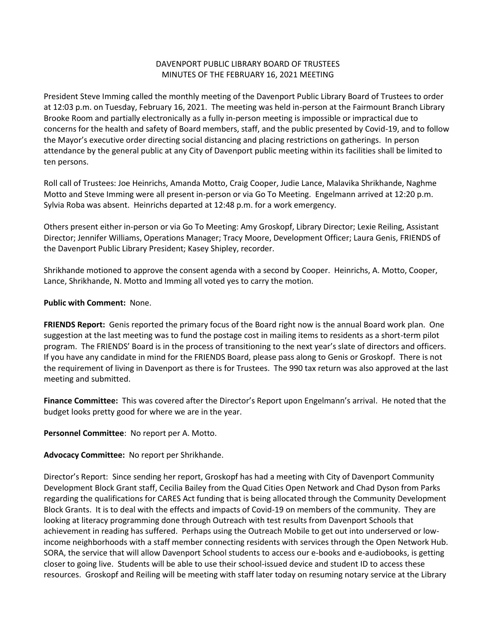## DAVENPORT PUBLIC LIBRARY BOARD OF TRUSTEES MINUTES OF THE FEBRUARY 16, 2021 MEETING

President Steve Imming called the monthly meeting of the Davenport Public Library Board of Trustees to order at 12:03 p.m. on Tuesday, February 16, 2021. The meeting was held in-person at the Fairmount Branch Library Brooke Room and partially electronically as a fully in-person meeting is impossible or impractical due to concerns for the health and safety of Board members, staff, and the public presented by Covid-19, and to follow the Mayor's executive order directing social distancing and placing restrictions on gatherings. In person attendance by the general public at any City of Davenport public meeting within its facilities shall be limited to ten persons.

Roll call of Trustees: Joe Heinrichs, Amanda Motto, Craig Cooper, Judie Lance, Malavika Shrikhande, Naghme Motto and Steve Imming were all present in-person or via Go To Meeting. Engelmann arrived at 12:20 p.m. Sylvia Roba was absent. Heinrichs departed at 12:48 p.m. for a work emergency.

Others present either in-person or via Go To Meeting: Amy Groskopf, Library Director; Lexie Reiling, Assistant Director; Jennifer Williams, Operations Manager; Tracy Moore, Development Officer; Laura Genis, FRIENDS of the Davenport Public Library President; Kasey Shipley, recorder.

Shrikhande motioned to approve the consent agenda with a second by Cooper. Heinrichs, A. Motto, Cooper, Lance, Shrikhande, N. Motto and Imming all voted yes to carry the motion.

## **Public with Comment:** None.

**FRIENDS Report:** Genis reported the primary focus of the Board right now is the annual Board work plan. One suggestion at the last meeting was to fund the postage cost in mailing items to residents as a short-term pilot program. The FRIENDS' Board is in the process of transitioning to the next year's slate of directors and officers. If you have any candidate in mind for the FRIENDS Board, please pass along to Genis or Groskopf. There is not the requirement of living in Davenport as there is for Trustees. The 990 tax return was also approved at the last meeting and submitted.

**Finance Committee:** This was covered after the Director's Report upon Engelmann's arrival. He noted that the budget looks pretty good for where we are in the year.

**Personnel Committee**: No report per A. Motto.

## **Advocacy Committee:** No report per Shrikhande.

Director's Report: Since sending her report, Groskopf has had a meeting with City of Davenport Community Development Block Grant staff, Cecilia Bailey from the Quad Cities Open Network and Chad Dyson from Parks regarding the qualifications for CARES Act funding that is being allocated through the Community Development Block Grants. It is to deal with the effects and impacts of Covid-19 on members of the community. They are looking at literacy programming done through Outreach with test results from Davenport Schools that achievement in reading has suffered. Perhaps using the Outreach Mobile to get out into underserved or lowincome neighborhoods with a staff member connecting residents with services through the Open Network Hub. SORA, the service that will allow Davenport School students to access our e-books and e-audiobooks, is getting closer to going live. Students will be able to use their school-issued device and student ID to access these resources. Groskopf and Reiling will be meeting with staff later today on resuming notary service at the Library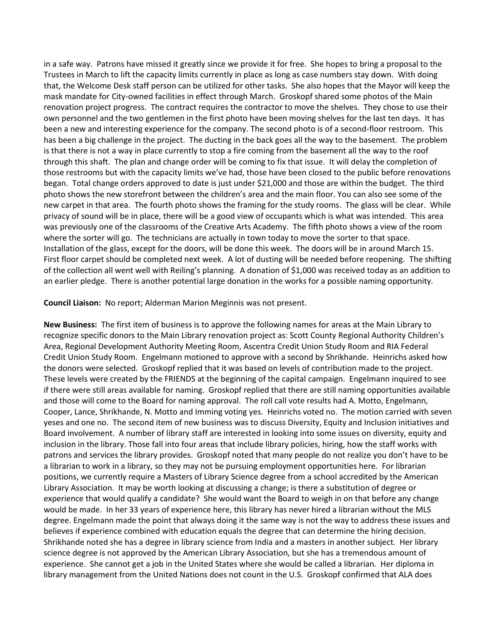in a safe way. Patrons have missed it greatly since we provide it for free. She hopes to bring a proposal to the Trustees in March to lift the capacity limits currently in place as long as case numbers stay down. With doing that, the Welcome Desk staff person can be utilized for other tasks. She also hopes that the Mayor will keep the mask mandate for City-owned facilities in effect through March. Groskopf shared some photos of the Main renovation project progress. The contract requires the contractor to move the shelves. They chose to use their own personnel and the two gentlemen in the first photo have been moving shelves for the last ten days. It has been a new and interesting experience for the company. The second photo is of a second-floor restroom. This has been a big challenge in the project. The ducting in the back goes all the way to the basement. The problem is that there is not a way in place currently to stop a fire coming from the basement all the way to the roof through this shaft. The plan and change order will be coming to fix that issue. It will delay the completion of those restrooms but with the capacity limits we've had, those have been closed to the public before renovations began. Total change orders approved to date is just under \$21,000 and those are within the budget. The third photo shows the new storefront between the children's area and the main floor. You can also see some of the new carpet in that area. The fourth photo shows the framing for the study rooms. The glass will be clear. While privacy of sound will be in place, there will be a good view of occupants which is what was intended. This area was previously one of the classrooms of the Creative Arts Academy. The fifth photo shows a view of the room where the sorter will go. The technicians are actually in town today to move the sorter to that space. Installation of the glass, except for the doors, will be done this week. The doors will be in around March 15. First floor carpet should be completed next week. A lot of dusting will be needed before reopening. The shifting of the collection all went well with Reiling's planning. A donation of \$1,000 was received today as an addition to an earlier pledge. There is another potential large donation in the works for a possible naming opportunity.

**Council Liaison:** No report; Alderman Marion Meginnis was not present.

**New Business:** The first item of business is to approve the following names for areas at the Main Library to recognize specific donors to the Main Library renovation project as: Scott County Regional Authority Children's Area, Regional Development Authority Meeting Room, Ascentra Credit Union Study Room and RIA Federal Credit Union Study Room. Engelmann motioned to approve with a second by Shrikhande. Heinrichs asked how the donors were selected. Groskopf replied that it was based on levels of contribution made to the project. These levels were created by the FRIENDS at the beginning of the capital campaign. Engelmann inquired to see if there were still areas available for naming. Groskopf replied that there are still naming opportunities available and those will come to the Board for naming approval. The roll call vote results had A. Motto, Engelmann, Cooper, Lance, Shrikhande, N. Motto and Imming voting yes. Heinrichs voted no. The motion carried with seven yeses and one no. The second item of new business was to discuss Diversity, Equity and Inclusion initiatives and Board involvement. A number of library staff are interested in looking into some issues on diversity, equity and inclusion in the library. Those fall into four areas that include library policies, hiring, how the staff works with patrons and services the library provides. Groskopf noted that many people do not realize you don't have to be a librarian to work in a library, so they may not be pursuing employment opportunities here. For librarian positions, we currently require a Masters of Library Science degree from a school accredited by the American Library Association. It may be worth looking at discussing a change; is there a substitution of degree or experience that would qualify a candidate? She would want the Board to weigh in on that before any change would be made. In her 33 years of experience here, this library has never hired a librarian without the MLS degree. Engelmann made the point that always doing it the same way is not the way to address these issues and believes if experience combined with education equals the degree that can determine the hiring decision. Shrikhande noted she has a degree in library science from India and a masters in another subject. Her library science degree is not approved by the American Library Association, but she has a tremendous amount of experience. She cannot get a job in the United States where she would be called a librarian. Her diploma in library management from the United Nations does not count in the U.S. Groskopf confirmed that ALA does